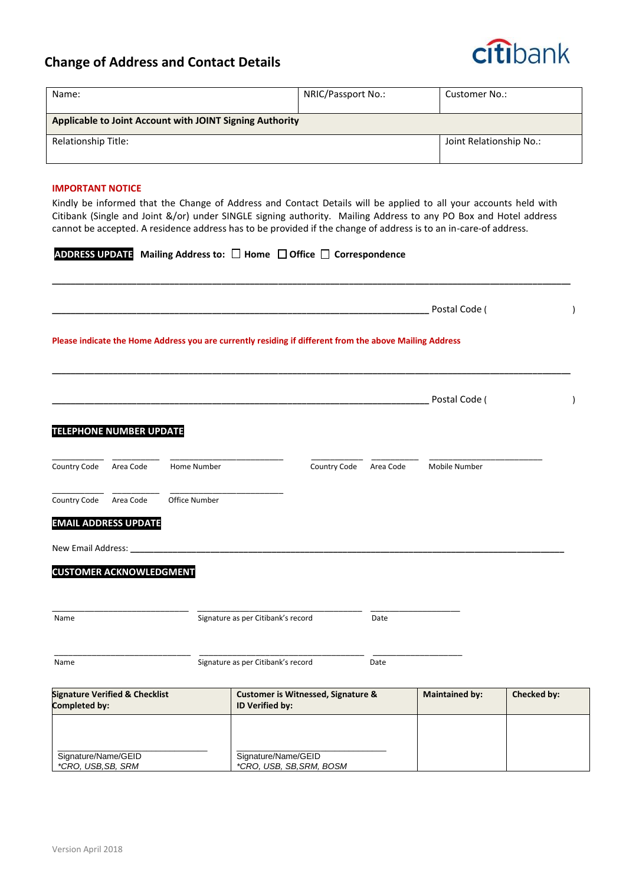## **Change of Address and Contact Details**



| Name:                                                    | NRIC/Passport No.:      | Customer No.: |  |  |  |  |  |
|----------------------------------------------------------|-------------------------|---------------|--|--|--|--|--|
| Applicable to Joint Account with JOINT Signing Authority |                         |               |  |  |  |  |  |
| Relationship Title:                                      | Joint Relationship No.: |               |  |  |  |  |  |

## **IMPORTANT NOTICE**

Kindly be informed that the Change of Address and Contact Details will be applied to all your accounts held with Citibank (Single and Joint &/or) under SINGLE signing authority. Mailing Address to any PO Box and Hotel address cannot be accepted. A residence address has to be provided if the change of address is to an in-care-of address.

|  | ADDRESS UPDATE Mailing Address to: □ Home □ Office □ Correspondence |  |  |  |  |
|--|---------------------------------------------------------------------|--|--|--|--|
|--|---------------------------------------------------------------------|--|--|--|--|

|                                                            |           |                                                                  |                     |                                                                                                         |                       | Postal Code ( |  |                          |
|------------------------------------------------------------|-----------|------------------------------------------------------------------|---------------------|---------------------------------------------------------------------------------------------------------|-----------------------|---------------|--|--------------------------|
|                                                            |           |                                                                  |                     | Please indicate the Home Address you are currently residing if different from the above Mailing Address |                       |               |  |                          |
|                                                            |           |                                                                  |                     |                                                                                                         |                       | Postal Code ( |  | $\overline{\phantom{a}}$ |
| <b>TELEPHONE NUMBER UPDATE</b>                             |           |                                                                  |                     |                                                                                                         |                       |               |  |                          |
| Country Code                                               | Area Code | Home Number                                                      |                     | Country Code                                                                                            | Area Code             | Mobile Number |  |                          |
| Country Code                                               | Area Code | Office Number                                                    |                     |                                                                                                         |                       |               |  |                          |
| <b>EMAIL ADDRESS UPDATE</b>                                |           |                                                                  |                     |                                                                                                         |                       |               |  |                          |
| New Email Address:                                         |           |                                                                  |                     |                                                                                                         |                       |               |  |                          |
| <b>CUSTOMER ACKNOWLEDGMENT</b>                             |           |                                                                  |                     |                                                                                                         |                       |               |  |                          |
|                                                            |           |                                                                  |                     |                                                                                                         |                       |               |  |                          |
| Name                                                       |           | Signature as per Citibank's record                               |                     | Date                                                                                                    |                       |               |  |                          |
| Name                                                       |           | Signature as per Citibank's record                               |                     | Date                                                                                                    |                       |               |  |                          |
| <b>Signature Verified &amp; Checklist</b><br>Completed by: |           | <b>Customer is Witnessed, Signature &amp;</b><br>ID Verified by: |                     |                                                                                                         | <b>Maintained by:</b> | Checked by:   |  |                          |
|                                                            |           |                                                                  |                     |                                                                                                         |                       |               |  |                          |
| Signature/Name/GEID<br>*CRO, USB, SB, SRM                  |           |                                                                  | Signature/Name/GEID | *CRO, USB, SB, SRM, BOSM                                                                                |                       |               |  |                          |